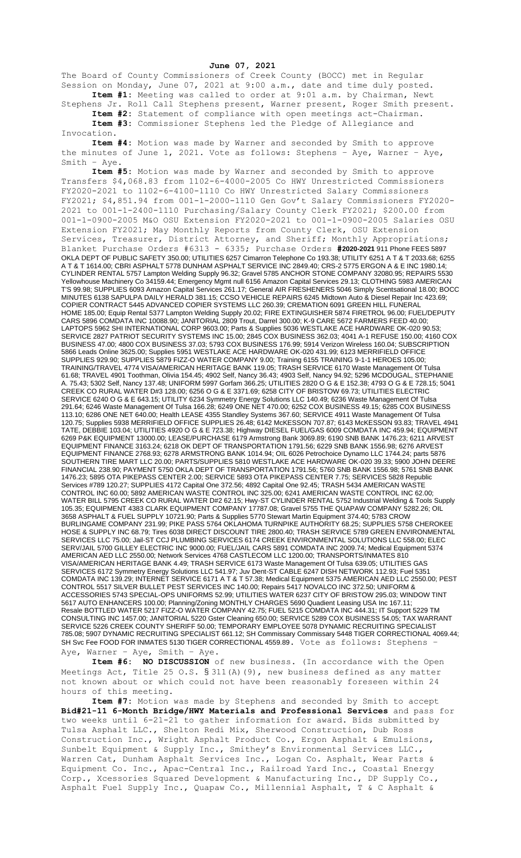**June 07, 2021**

The Board of County Commissioners of Creek County (BOCC) met in Regular Session on Monday, June 07, 2021 at 9:00 a.m., date and time duly posted. **Item #1:** Meeting was called to order at 9:01 a.m. by Chairman, Newt

Stephens Jr. Roll Call Stephens present, Warner present, Roger Smith present. **Item #2:** Statement of compliance with open meetings act-Chairman.

**Item #3:** Commissioner Stephens led the Pledge of Allegiance and Invocation.

**Item #4:** Motion was made by Warner and seconded by Smith to approve the minutes of June 1, 2021. Vote as follows: Stephens – Aye, Warner – Aye, Smith – Aye.

**Item #5:** Motion was made by Warner and seconded by Smith to approve Transfers \$4,068.83 from 1102-6-4000-2005 Co HWY Unrestricted Commissioners FY2020-2021 to 1102-6-4100-1110 Co HWY Unrestricted Salary Commissioners FY2021; \$4,851.94 from 001-1-2000-1110 Gen Gov't Salary Commissioners FY2020- 2021 to 001-1-2400-1110 Purchasing/Salary County Clerk FY2021; \$200.00 from 001-1-0900-2005 M&O OSU Extension FY2020-2021 to 001-1-0900-2005 Salaries OSU Extension FY2021; May Monthly Reports from County Clerk, OSU Extension Services, Treasurer, District Attorney, and Sheriff; Monthly Appropriations; Blanket Purchase Orders #6313 - 6335; Purchase Orders **#2020-2021** 911 Phone FEES 5897 OKLA DEPT OF PUBLIC SAFETY 350.00; UTILITIES 6257 Cimarron Telephone Co 193.38; UTILITY 6251 A T & T 2033.68; 6255 A T & T 1614.00; CBRI ASPHALT 5778 DUNHAM ASPHALT SERVICE INC 2849.40; CRS-2 5775 ERGON A & E INC 1980.14; CYLINDER RENTAL 5757 Lampton Welding Supply 96.32; Gravel 5785 ANCHOR STONE COMPANY 32080.95; REPAIRS 5530 Yellowhouse Machinery Co 34159.44; Emergency Mgmt null 6156 Amazon Capital Services 29.13; CLOTHING 5983 AMERICAN T'S 99.98; SUPPLIES 6093 Amazon Capital Services 261.17; General AIR FRESHENERS 5046 Simply Scentsational 18.00; BOCC MINUTES 6138 SAPULPA DAILY HERALD 381.15; CCSO VEHICLE REPAIRS 6245 Midtown Auto & Diesel Repair Inc 423.69; COPIER CONTRACT 5445 ADVANCED COPIER SYSTEMS LLC 260.39; CREMATION 6091 GREEN HILL FUNERAL HOME 185.00; Equip Rental 5377 Lampton Welding Supply 20.02; FIRE EXTINGUISHER 5874 FIRETROL 96.00; FUEL/DEPUTY CARS 5896 COMDATA INC 10088.90; JANITORIAL 2809 Trout, Darrel 300.00; K-9 CARE 5672 FARMERS FEED 40.00; LAPTOPS 5962 SHI INTERNATIONAL CORP 9603.00; Parts & Supplies 5036 WESTLAKE ACE HARDWARE OK-020 90.53; SERVICE 2827 PATRIOT SECURITY SYSTEMS INC 15.00; 2845 COX BUSINESS 362.03; 4041 A-1 REFUSE 150.00; 4160 COX BUSINESS 47.00; 4800 COX BUSINESS 37.03; 5793 COX BUSINESS 176.99; 5914 Verizon Wireless 160.04; SUBSCRIPTION 5866 Leads Online 3625.00; Supplies 5951 WESTLAKE ACE HARDWARE OK-020 431.99; 6123 MERRIFIELD OFFICE SUPPLIES 929.90; SUPPLIES 5879 FIZZ-O WATER COMPANY 9.00; Training 6155 TRAINING 9-1-1 HEROES 105.00; TRAINING/TRAVEL 4774 VISA/AMERICAN HERITAGE BANK 119.05; TRASH SERVICE 6170 Waste Management Of Tulsa 61.68; TRAVEL 4901 Toothman, Olivia 154.45; 4902 Self, Nancy 36.43; 4903 Self, Nancy 94.92; 5296 MCDOUGAL, STEPHANIE A. 75.43; 5302 Self, Nancy 137.48; UNIFORM 5997 Gorfam 366.25; UTILITIES 2820 O G & E 152.38; 4793 O G & E 728.15; 5041 CREEK CO RURAL WATER D#3 128.00; 6256 O G & E 3371.69; 6258 CITY OF BRISTOW 69.73; UTILITIES ELECTRIC SERVICE 6240 O G & E 643.15; UTILITY 6234 Symmetry Energy Solutions LLC 140.49; 6236 Waste Management Of Tulsa 291.64; 6246 Waste Management Of Tulsa 166.28; 6249 ONE NET 470.00; 6252 COX BUSINESS 49.15; 6285 COX BUSINESS 113.10; 6286 ONE NET 640.00; Health LEASE 4355 Standley Systems 367.60; SERVICE 4911 Waste Management Of Tulsa 120.75; Supplies 5938 MERRIFIELD OFFICE SUPPLIES 26.48; 6142 McKESSON 707.87; 6143 McKESSON 93.83; TRAVEL 4941 TATE, DEBBIE 103.04; UTILITIES 4920 O G & E 723.38; Highway DIESEL FUEL/GAS 6009 COMDATA INC 459.94; EQUIPMENT 6269 P&K EQUIPMENT 13000.00; LEASE/PURCHASE 6179 Armstrong Bank 3069.89; 6190 SNB BANK 1476.23; 6211 ARVEST EQUIPMENT FINANCE 3163.24; 6218 OK DEPT OF TRANSPORTATION 1791.56; 6229 SNB BANK 1556.98; 6276 ARVEST EQUIPMENT FINANCE 2768.93; 6278 ARMSTRONG BANK 1014.94; OIL 6026 Petrochoice Dynamo LLC 1744.24; parts 5876 SOUTHERN TIRE MART LLC 20.00; PARTS/SUPPLIES 5810 WESTLAKE ACE HARDWARE OK-020 39.33; 5900 JOHN DEERE FINANCIAL 238.90; PAYMENT 5750 OKLA DEPT OF TRANSPORTATION 1791.56; 5760 SNB BANK 1556.98; 5761 SNB BANK 1476.23; 5895 OTA PIKEPASS CENTER 2.00; SERVICE 5893 OTA PIKEPASS CENTER 7.75; SERVICES 5828 Republic Services #789 120.27; SUPPLIES 4172 Capital One 372.56; 4892 Capital One 92.45; TRASH 5434 AMERICAN WASTE CONTROL INC 60.00; 5892 AMERICAN WASTE CONTROL INC 325.00; 6241 AMERICAN WASTE CONTROL INC 62.00; WATER BILL 5795 CREEK CO RURAL WATER D#2 62.15; Hwy-ST CYLINDER RENTAL 5752 Industrial Welding & Tools Supply 105.35; EQUIPMENT 4383 CLARK EQUIPMENT COMPANY 17787.08; Gravel 5755 THE QUAPAW COMPANY 5282.26; OIL 3658 ASPHALT & FUEL SUPPLY 10721.90; Parts & Supplies 5770 Stewart Martin Equipment 374.40; 5783 CROW BURLINGAME COMPANY 231.99; PIKE PASS 5764 OKLAHOMA TURNPIKE AUTHORITY 68.25; SUPPLIES 5758 CHEROKEE HOSE & SUPPLY INC 68.79; Tires 6038 DIRECT DISCOUNT TIRE 2800.40; TRASH SERVICE 5789 GREEN ENVIRONMENTAL SERVICES LLC 75.00; Jail-ST CCJ PLUMBING SERVICES 6174 CREEK ENVIRONMENTAL SOLUTIONS LLC 558.00; ELEC SERV/JAIL 5700 GILLEY ELECTRIC INC 9000.00; FUEL/JAIL CARS 5891 COMDATA INC 2009.74; Medical Equipment 5374 AMERICAN AED LLC 2550.00; Network Services 4768 CASTLECOM LLC 1200.00; TRANSPORTS/INMATES 810 VISA/AMERICAN HERITAGE BANK 4.49; TRASH SERVICE 6173 Waste Management Of Tulsa 639.05; UTILITIES GAS SERVICES 6172 Symmetry Energy Solutions LLC 541.97; Juv Dent-ST CABLE 6247 DISH NETWORK 112.93; Fuel 5351 COMDATA INC 139.29; INTERNET SERVICE 6171 A T & T 57.38; Medical Equipment 5375 AMERICAN AED LLC 2550.00; PEST CONTROL 5517 SILVER BULLET PEST SERVICES INC 140.00; Repairs 5417 NOVALCO INC 372.50; UNIFORM & ACCESSORIES 5743 SPECIAL-OPS UNIFORMS 52.99; UTILITIES WATER 6237 CITY OF BRISTOW 295.03; WINDOW TINT 5617 AUTO ENHANCERS 100.00; Planning/Zoning MONTHLY CHARGES 5690 Quadient Leasing USA Inc 167.11; Resale BOTTLED WATER 5217 FIZZ-O WATER COMPANY 42.75; FUEL 5215 COMDATA INC 444.31; IT Support 5229 TM CONSULTING INC 1457.00; JANITORIAL 5220 Gster Cleaning 650.00; SERVICE 5289 COX BUSINESS 54.05; TAX WARRANT SERVICE 5226 CREEK COUNTY SHERIFF 50.00; TEMPORARY EMPLOYEE 5078 DYNAMIC RECRUITING SPECIALIST 785.08; 5907 DYNAMIC RECRUITING SPECIALIST 661.12; SH Commissary Commissary 5448 TIGER CORRECTIONAL 4069.44; SH Svc Fee FOOD FOR INMATES 5130 TIGER CORRECTIONAL 4559.89. Vote as follows: Stephens – Aye, Warner – Aye, Smith – Aye.

**Item #6: NO DISCUSSION** of new business. (In accordance with the Open Meetings Act, Title 25 O.S. § 311(A)(9), new business defined as any matter not known about or which could not have been reasonably foreseen within 24 hours of this meeting.

**Item #7:** Motion was made by Stephens and seconded by Smith to accept **Bid#21-11 6-Month Bridge/HWY Materials and Professional Services** and pass for two weeks until 6-21-21 to gather information for award. Bids submitted by Tulsa Asphalt LLC., Shelton Redi Mix, Sherwood Construction, Dub Ross Construction Inc., Wright Asphalt Product Co., Ergon Asphalt & Emulsions, Sunbelt Equipment & Supply Inc., Smithey's Environmental Services LLC., Warren Cat, Dunham Asphalt Services Inc., Logan Co. Asphalt, Wear Parts & Equipment Co. Inc., Apac-Central Inc., Railroad Yard Inc., Coastal Energy Corp., Xcessories Squared Development & Manufacturing Inc., DP Supply Co., Asphalt Fuel Supply Inc., Quapaw Co., Millennial Asphalt, T & C Asphalt &